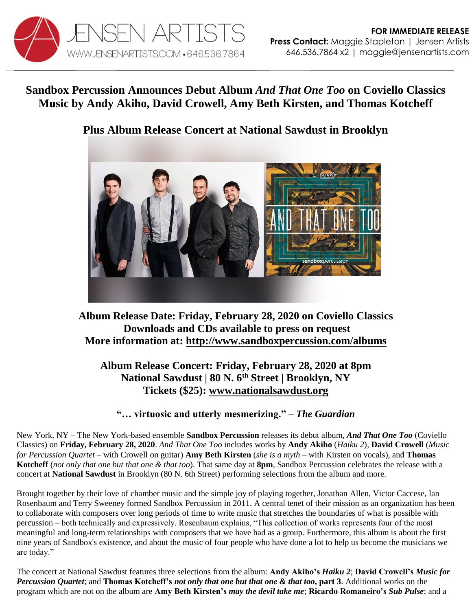

**Sandbox Percussion Announces Debut Album** *And That One Too* **on Coviello Classics Music by Andy Akiho, David Crowell, Amy Beth Kirsten, and Thomas Kotcheff**

# **Plus Album Release Concert at National Sawdust in Brooklyn**



**Album Release Date: Friday, February 28, 2020 on Coviello Classics Downloads and CDs available to press on request More information at:<http://www.sandboxpercussion.com/albums>**

**Album Release Concert: Friday, February 28, 2020 at 8pm National Sawdust | 80 N. 6th Street | Brooklyn, NY Tickets (\$25): [www.nationalsawdust.org](https://nationalsawdust.org/event/sandbox-percussion)**

**"… virtuosic and utterly mesmerizing." –** *The Guardian*

New York, NY – The New York-based ensemble **Sandbox Percussion** releases its debut album, *And That One Too* (Coviello Classics) on **Friday, February 28, 2020**. *And That One Too* includes works by **Andy Akiho** (*Haiku 2*)*,* **David Crowell** (*Music for Percussion Quartet –* with Crowell on guitar) **Amy Beth Kirsten** (*she is a myth* – with Kirsten on vocals), and **Thomas Kotcheff** (*not only that one but that one & that too*). That same day at **8pm**, Sandbox Percussion celebrates the release with a concert at **National Sawdust** in Brooklyn (80 N. 6th Street) performing selections from the album and more.

Brought together by their love of chamber music and the simple joy of playing together, Jonathan Allen, Victor Caccese, Ian Rosenbaum and Terry Sweeney formed Sandbox Percussion in 2011. A central tenet of their mission as an organization has been to collaborate with composers over long periods of time to write music that stretches the boundaries of what is possible with percussion – both technically and expressively. Rosenbaum explains, "This collection of works represents four of the most meaningful and long-term relationships with composers that we have had as a group. Furthermore, this album is about the first nine years of Sandbox's existence, and about the music of four people who have done a lot to help us become the musicians we are today."

The concert at National Sawdust features three selections from the album: **Andy Akiho's** *Haiku 2*; **David Crowell's** *Music for Percussion Quartet*; and **Thomas Kotcheff's** *not only that one but that one & that too***, part 3**. Additional works on the program which are not on the album are **Amy Beth Kirsten's** *may the devil take me*; **Ricardo Romaneiro's** *Sub Pulse*; and a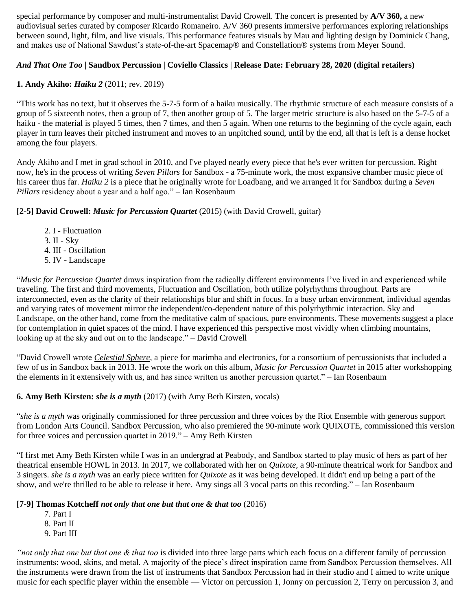special performance by composer and multi-instrumentalist David Crowell. The concert is presented by **A/V 360,** a new audiovisual series curated by composer Ricardo Romaneiro. A/V 360 presents immersive performances exploring relationships between sound, light, film, and live visuals. This performance features visuals by Mau and lighting design by Dominick Chang, and makes use of National Sawdust's state-of-the-art Spacemap® and Constellation® systems from Meyer Sound.

# *And That One Too* **| Sandbox Percussion | Coviello Classics | Release Date: February 28, 2020 (digital retailers)**

## **1. Andy Akiho:** *Haiku 2* (2011; rev. 2019)

"This work has no text, but it observes the 5-7-5 form of a haiku musically. The rhythmic structure of each measure consists of a group of 5 sixteenth notes, then a group of 7, then another group of 5. The larger metric structure is also based on the 5-7-5 of a haiku - the material is played 5 times, then 7 times, and then 5 again. When one returns to the beginning of the cycle again, each player in turn leaves their pitched instrument and moves to an unpitched sound, until by the end, all that is left is a dense hocket among the four players.

Andy Akiho and I met in grad school in 2010, and I've played nearly every piece that he's ever written for percussion. Right now, he's in the process of writing *Seven Pillars* for Sandbox - a 75-minute work, the most expansive chamber music piece of his career thus far. *Haiku 2* is a piece that he originally wrote for Loadbang, and we arranged it for Sandbox during a *Seven Pillars* residency about a year and a half ago." – Ian Rosenbaum

## **[2-5] David Crowell:** *Music for Percussion Quartet* (2015) (with David Crowell, guitar)

2. I - Fluctuation 3. II - Sky 4. III - Oscillation 5. IV - Landscape

"*Music for Percussion Quartet* draws inspiration from the radically different environments I've lived in and experienced while traveling. The first and third movements, Fluctuation and Oscillation, both utilize polyrhythms throughout. Parts are interconnected, even as the clarity of their relationships blur and shift in focus. In a busy urban environment, individual agendas and varying rates of movement mirror the independent/co-dependent nature of this polyrhythmic interaction. Sky and Landscape, on the other hand, come from the meditative calm of spacious, pure environments. These movements suggest a place for contemplation in quiet spaces of the mind. I have experienced this perspective most vividly when climbing mountains, looking up at the sky and out on to the landscape." – David Crowell

"David Crowell wrote *[Celestial Sphere](https://www.youtube.com/watch?v=bwfyBublpr4)*, a piece for marimba and electronics, for a consortium of percussionists that included a few of us in Sandbox back in 2013. He wrote the work on this album, *Music for Percussion Quartet* in 2015 after workshopping the elements in it extensively with us, and has since written us another percussion quartet." – Ian Rosenbaum

## **6. Amy Beth Kirsten:** *she is a myth* (2017) (with Amy Beth Kirsten, vocals)

"*she is a myth* was originally commissioned for three percussion and three voices by the Riot Ensemble with generous support from London Arts Council. Sandbox Percussion, who also premiered the 90-minute work QUIXOTE, commissioned this version for three voices and percussion quartet in 2019." – Amy Beth Kirsten

"I first met Amy Beth Kirsten while I was in an undergrad at Peabody, and Sandbox started to play music of hers as part of her theatrical ensemble HOWL in 2013. In 2017, we collaborated with her on *Quixote,* a 90-minute theatrical work for Sandbox and 3 singers. *she is a myth* was an early piece written for *Quixote* as it was being developed. It didn't end up being a part of the show, and we're thrilled to be able to release it here. Amy sings all 3 vocal parts on this recording." – Ian Rosenbaum

#### **[7-9] Thomas Kotcheff** *not only that one but that one & that too* (2016)

- 7. Part I
- 8. Part II
- 9. Part III

*"not only that one but that one & that too* is divided into three large parts which each focus on a different family of percussion instruments: wood, skins, and metal. A majority of the piece's direct inspiration came from Sandbox Percussion themselves. All the instruments were drawn from the list of instruments that Sandbox Percussion had in their studio and I aimed to write unique music for each specific player within the ensemble — Victor on percussion 1, Jonny on percussion 2, Terry on percussion 3, and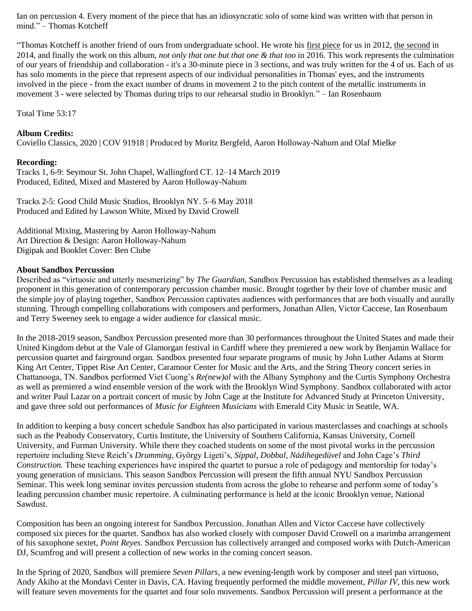Ian on percussion 4. Every moment of the piece that has an idiosyncratic solo of some kind was written with that person in mind." – Thomas Kotcheff

"Thomas Kotcheff is another friend of ours from undergraduate school. He wrote his [first piece](https://www.youtube.com/watch?v=tHRDmxO--94) for us in 2012, [the second](https://www.youtube.com/watch?v=SDzUF-VP1Io) in 2014, and finally the work on this album, *not only that one but that one & that too* in 2016. This work represents the culmination of our years of friendship and collaboration - it's a 30-minute piece in 3 sections, and was truly written for the 4 of us. Each of us has solo moments in the piece that represent aspects of our individual personalities in Thomas' eyes, and the instruments involved in the piece - from the exact number of drums in movement 2 to the pitch content of the metallic instruments in movement 3 - were selected by Thomas during trips to our rehearsal studio in Brooklyn." – Ian Rosenbaum

Total Time 53:17

#### **Album Credits:**

Coviello Classics, 2020 | COV 91918 | Produced by Moritz Bergfeld, Aaron Holloway-Nahum and Olaf Mielke

#### **Recording:**

Tracks 1, 6-9: Seymour St. John Chapel, Wallingford CT. 12–14 March 2019 Produced, Edited, Mixed and Mastered by Aaron Holloway-Nahum

Tracks 2-5: Good Child Music Studios, Brooklyn NY. 5–6 May 2018 Produced and Edited by Lawson White, Mixed by David Crowell

Additional Mixing, Mastering by Aaron Holloway-Nahum Art Direction & Design: Aaron Holloway-Nahum Digipak and Booklet Cover: Ben Clube

#### **About Sandbox Percussion**

Described as "virtuosic and utterly mesmerizing" by *The Guardian*, Sandbox Percussion has established themselves as a leading proponent in this generation of contemporary percussion chamber music. Brought together by their love of chamber music and the simple joy of playing together, Sandbox Percussion captivates audiences with performances that are both visually and aurally stunning. Through compelling collaborations with composers and performers, Jonathan Allen, Victor Caccese, Ian Rosenbaum and Terry Sweeney seek to engage a wider audience for classical music.

In the 2018-2019 season, Sandbox Percussion presented more than 30 performances throughout the United States and made their United Kingdom debut at the Vale of Glamorgan festival in Cardiff where they premiered a new work by Benjamin Wallace for percussion quartet and fairground organ. Sandbox presented four separate programs of music by John Luther Adams at Storm King Art Center, Tippet Rise Art Center, Caramoor Center for Music and the Arts, and the String Theory concert series in Chattanooga, TN. Sandbox performed Viet Cuong's *Re(new)al* with the Albany Symphony and the Curtis Symphony Orchestra as well as premiered a wind ensemble version of the work with the Brooklyn Wind Symphony. Sandbox collaborated with actor and writer Paul Lazar on a portrait concert of music by John Cage at the Institute for Advanced Study at Princeton University, and gave three sold out performances of *Music for Eighteen Musicians* with Emerald City Music in Seattle, WA.

In addition to keeping a busy concert schedule Sandbox has also participated in various masterclasses and coachings at schools such as the Peabody Conservatory, Curtis Institute, the University of Southern California, Kansas University, Cornell University, and Furman University. While there they coached students on some of the most pivotal works in the percussion repertoire including Steve Reich's *Drumming*, György Ligeti's, *Síppal, Dobbal, Nádihegedüvel* and John Cage's *Third Construction.* These teaching experiences have inspired the quartet to pursue a role of pedagogy and mentorship for today's young generation of musicians. This season Sandbox Percussion will present the fifth annual NYU Sandbox Percussion Seminar. This week long seminar invites percussion students from across the globe to rehearse and perform some of today's leading percussion chamber music repertoire. A culminating performance is held at the iconic Brooklyn venue, National Sawdust.

Composition has been an ongoing interest for Sandbox Percussion. Jonathan Allen and Victor Caccese have collectively composed six pieces for the quartet. Sandbox has also worked closely with composer David Crowell on a marimba arrangement of his saxophone sextet, *Point Reyes*. Sandbox Percussion has collectively arranged and composed works with Dutch-American DJ, Scumfrog and will present a collection of new works in the coming concert season.

In the Spring of 2020, Sandbox will premiere *Seven Pillars*, a new evening-length work by composer and steel pan virtuoso, Andy Akiho at the Mondavi Center in Davis, CA. Having frequently performed the middle movement, *Pillar IV,* this new work will feature seven movements for the quartet and four solo movements. Sandbox Percussion will present a performance at the